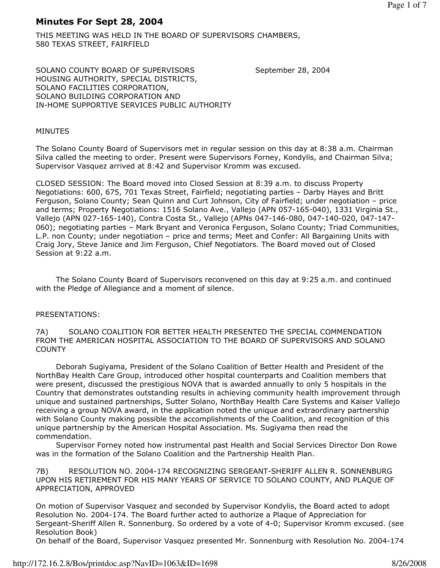# Minutes For Sept 28, 2004

THIS MEETING WAS HELD IN THE BOARD OF SUPERVISORS CHAMBERS, 580 TEXAS STREET, FAIRFIELD

SOLANO COUNTY BOARD OF SUPERVISORS September 28, 2004 HOUSING AUTHORITY, SPECIAL DISTRICTS, SOLANO FACILITIES CORPORATION, SOLANO BUILDING CORPORATION AND IN-HOME SUPPORTIVE SERVICES PUBLIC AUTHORITY

# MINUTES

The Solano County Board of Supervisors met in regular session on this day at 8:38 a.m. Chairman Silva called the meeting to order. Present were Supervisors Forney, Kondylis, and Chairman Silva; Supervisor Vasquez arrived at 8:42 and Supervisor Kromm was excused.

CLOSED SESSION: The Board moved into Closed Session at 8:39 a.m. to discuss Property Negotiations: 600, 675, 701 Texas Street, Fairfield; negotiating parties – Darby Hayes and Britt Ferguson, Solano County; Sean Quinn and Curt Johnson, City of Fairfield; under negotiation – price and terms; Property Negotiations: 1516 Solano Ave., Vallejo (APN 057-165-040), 1331 Virginia St., Vallejo (APN 027-165-140), Contra Costa St., Vallejo (APNs 047-146-080, 047-140-020, 047-147- 060); negotiating parties – Mark Bryant and Veronica Ferguson, Solano County; Triad Communities, L.P. non County; under negotiation – price and terms; Meet and Confer: All Bargaining Units with Craig Jory, Steve Janice and Jim Ferguson, Chief Negotiators. The Board moved out of Closed Session at 9:22 a.m.

 The Solano County Board of Supervisors reconvened on this day at 9:25 a.m. and continued with the Pledge of Allegiance and a moment of silence.

# PRESENTATIONS:

7A) SOLANO COALITION FOR BETTER HEALTH PRESENTED THE SPECIAL COMMENDATION FROM THE AMERICAN HOSPITAL ASSOCIATION TO THE BOARD OF SUPERVISORS AND SOLANO **COUNTY** 

 Deborah Sugiyama, President of the Solano Coalition of Better Health and President of the NorthBay Health Care Group, introduced other hospital counterparts and Coalition members that were present, discussed the prestigious NOVA that is awarded annually to only 5 hospitals in the Country that demonstrates outstanding results in achieving community health improvement through unique and sustained partnerships, Sutter Solano, NorthBay Health Care Systems and Kaiser Vallejo receiving a group NOVA award, in the application noted the unique and extraordinary partnership with Solano County making possible the accomplishments of the Coalition, and recognition of this unique partnership by the American Hospital Association. Ms. Sugiyama then read the commendation.

 Supervisor Forney noted how instrumental past Health and Social Services Director Don Rowe was in the formation of the Solano Coalition and the Partnership Health Plan.

### 7B) RESOLUTION NO. 2004-174 RECOGNIZING SERGEANT-SHERIFF ALLEN R. SONNENBURG UPON HIS RETIREMENT FOR HIS MANY YEARS OF SERVICE TO SOLANO COUNTY, AND PLAQUE OF APPRECIATION, APPROVED

On motion of Supervisor Vasquez and seconded by Supervisor Kondylis, the Board acted to adopt Resolution No. 2004-174. The Board further acted to authorize a Plaque of Appreciation for Sergeant-Sheriff Allen R. Sonnenburg. So ordered by a vote of 4-0; Supervisor Kromm excused. (see Resolution Book)

On behalf of the Board, Supervisor Vasquez presented Mr. Sonnenburg with Resolution No. 2004-174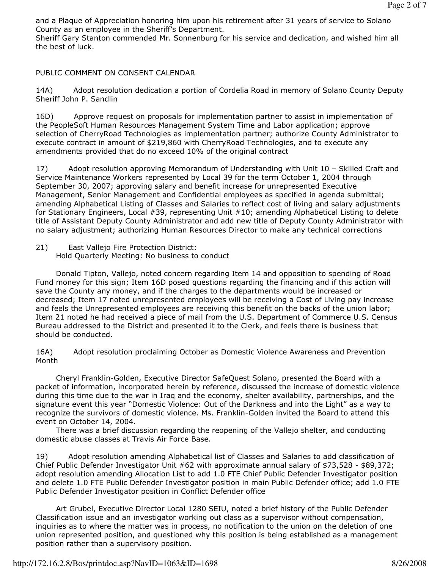and a Plaque of Appreciation honoring him upon his retirement after 31 years of service to Solano County as an employee in the Sheriff's Department.

Sheriff Gary Stanton commended Mr. Sonnenburg for his service and dedication, and wished him all the best of luck.

PUBLIC COMMENT ON CONSENT CALENDAR

14A) Adopt resolution dedication a portion of Cordelia Road in memory of Solano County Deputy Sheriff John P. Sandlin

16D) Approve request on proposals for implementation partner to assist in implementation of the PeopleSoft Human Resources Management System Time and Labor application; approve selection of CherryRoad Technologies as implementation partner; authorize County Administrator to execute contract in amount of \$219,860 with CherryRoad Technologies, and to execute any amendments provided that do no exceed 10% of the original contract

17) Adopt resolution approving Memorandum of Understanding with Unit 10 – Skilled Craft and Service Maintenance Workers represented by Local 39 for the term October 1, 2004 through September 30, 2007; approving salary and benefit increase for unrepresented Executive Management, Senior Management and Confidential employees as specified in agenda submittal; amending Alphabetical Listing of Classes and Salaries to reflect cost of living and salary adjustments for Stationary Engineers, Local #39, representing Unit #10; amending Alphabetical Listing to delete title of Assistant Deputy County Administrator and add new title of Deputy County Administrator with no salary adjustment; authorizing Human Resources Director to make any technical corrections

21) East Vallejo Fire Protection District: Hold Quarterly Meeting: No business to conduct

 Donald Tipton, Vallejo, noted concern regarding Item 14 and opposition to spending of Road Fund money for this sign; Item 16D posed questions regarding the financing and if this action will save the County any money, and if the charges to the departments would be increased or decreased; Item 17 noted unrepresented employees will be receiving a Cost of Living pay increase and feels the Unrepresented employees are receiving this benefit on the backs of the union labor; Item 21 noted he had received a piece of mail from the U.S. Department of Commerce U.S. Census Bureau addressed to the District and presented it to the Clerk, and feels there is business that should be conducted.

16A) Adopt resolution proclaiming October as Domestic Violence Awareness and Prevention Month

 Cheryl Franklin-Golden, Executive Director SafeQuest Solano, presented the Board with a packet of information, incorporated herein by reference, discussed the increase of domestic violence during this time due to the war in Iraq and the economy, shelter availability, partnerships, and the signature event this year "Domestic Violence: Out of the Darkness and into the Light" as a way to recognize the survivors of domestic violence. Ms. Franklin-Golden invited the Board to attend this event on October 14, 2004.

 There was a brief discussion regarding the reopening of the Vallejo shelter, and conducting domestic abuse classes at Travis Air Force Base.

19) Adopt resolution amending Alphabetical list of Classes and Salaries to add classification of Chief Public Defender Investigator Unit #62 with approximate annual salary of \$73,528 - \$89,372; adopt resolution amending Allocation List to add 1.0 FTE Chief Public Defender Investigator position and delete 1.0 FTE Public Defender Investigator position in main Public Defender office; add 1.0 FTE Public Defender Investigator position in Conflict Defender office

 Art Grubel, Executive Director Local 1280 SEIU, noted a brief history of the Public Defender Classification issue and an investigator working out class as a supervisor without compensation, inquiries as to where the matter was in process, no notification to the union on the deletion of one union represented position, and questioned why this position is being established as a management position rather than a supervisory position.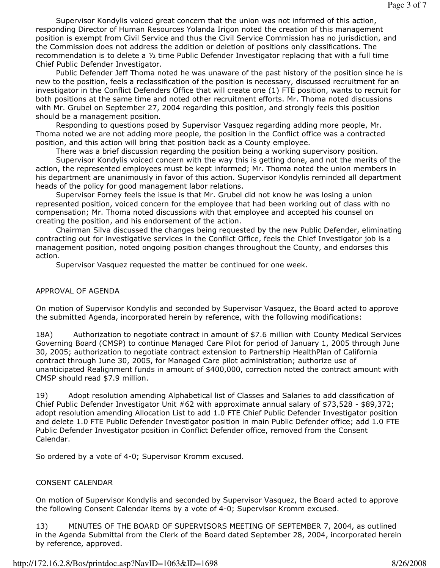Supervisor Kondylis voiced great concern that the union was not informed of this action, responding Director of Human Resources Yolanda Irigon noted the creation of this management position is exempt from Civil Service and thus the Civil Service Commission has no jurisdiction, and the Commission does not address the addition or deletion of positions only classifications. The recommendation is to delete a  $\frac{1}{2}$  time Public Defender Investigator replacing that with a full time Chief Public Defender Investigator.

 Public Defender Jeff Thoma noted he was unaware of the past history of the position since he is new to the position, feels a reclassification of the position is necessary, discussed recruitment for an investigator in the Conflict Defenders Office that will create one (1) FTE position, wants to recruit for both positions at the same time and noted other recruitment efforts. Mr. Thoma noted discussions with Mr. Grubel on September 27, 2004 regarding this position, and strongly feels this position should be a management position.

 Responding to questions posed by Supervisor Vasquez regarding adding more people, Mr. Thoma noted we are not adding more people, the position in the Conflict office was a contracted position, and this action will bring that position back as a County employee.

 There was a brief discussion regarding the position being a working supervisory position. Supervisor Kondylis voiced concern with the way this is getting done, and not the merits of the action, the represented employees must be kept informed; Mr. Thoma noted the union members in his department are unanimously in favor of this action. Supervisor Kondylis reminded all department heads of the policy for good management labor relations.

 Supervisor Forney feels the issue is that Mr. Grubel did not know he was losing a union represented position, voiced concern for the employee that had been working out of class with no compensation; Mr. Thoma noted discussions with that employee and accepted his counsel on creating the position, and his endorsement of the action.

 Chairman Silva discussed the changes being requested by the new Public Defender, eliminating contracting out for investigative services in the Conflict Office, feels the Chief Investigator job is a management position, noted ongoing position changes throughout the County, and endorses this action.

Supervisor Vasquez requested the matter be continued for one week.

#### APPROVAL OF AGENDA

On motion of Supervisor Kondylis and seconded by Supervisor Vasquez, the Board acted to approve the submitted Agenda, incorporated herein by reference, with the following modifications:

18A) Authorization to negotiate contract in amount of \$7.6 million with County Medical Services Governing Board (CMSP) to continue Managed Care Pilot for period of January 1, 2005 through June 30, 2005; authorization to negotiate contract extension to Partnership HealthPlan of California contract through June 30, 2005, for Managed Care pilot administration; authorize use of unanticipated Realignment funds in amount of \$400,000, correction noted the contract amount with CMSP should read \$7.9 million.

19) Adopt resolution amending Alphabetical list of Classes and Salaries to add classification of Chief Public Defender Investigator Unit #62 with approximate annual salary of \$73,528 - \$89,372; adopt resolution amending Allocation List to add 1.0 FTE Chief Public Defender Investigator position and delete 1.0 FTE Public Defender Investigator position in main Public Defender office; add 1.0 FTE Public Defender Investigator position in Conflict Defender office, removed from the Consent Calendar.

So ordered by a vote of 4-0; Supervisor Kromm excused.

## CONSENT CALENDAR

On motion of Supervisor Kondylis and seconded by Supervisor Vasquez, the Board acted to approve the following Consent Calendar items by a vote of 4-0; Supervisor Kromm excused.

13) MINUTES OF THE BOARD OF SUPERVISORS MEETING OF SEPTEMBER 7, 2004, as outlined in the Agenda Submittal from the Clerk of the Board dated September 28, 2004, incorporated herein by reference, approved.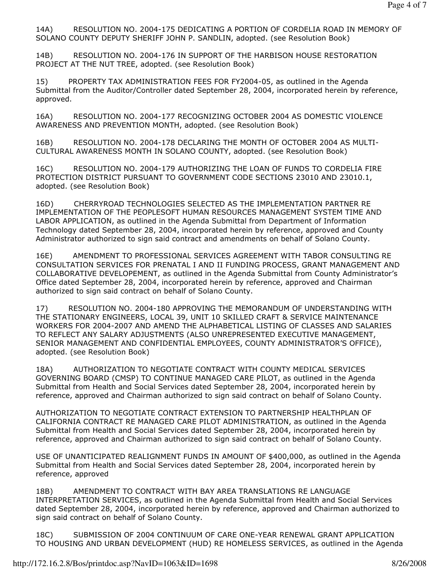14A) RESOLUTION NO. 2004-175 DEDICATING A PORTION OF CORDELIA ROAD IN MEMORY OF SOLANO COUNTY DEPUTY SHERIFF JOHN P. SANDLIN, adopted. (see Resolution Book)

14B) RESOLUTION NO. 2004-176 IN SUPPORT OF THE HARBISON HOUSE RESTORATION PROJECT AT THE NUT TREE, adopted. (see Resolution Book)

15) PROPERTY TAX ADMINISTRATION FEES FOR FY2004-05, as outlined in the Agenda Submittal from the Auditor/Controller dated September 28, 2004, incorporated herein by reference, approved.

16A) RESOLUTION NO. 2004-177 RECOGNIZING OCTOBER 2004 AS DOMESTIC VIOLENCE AWARENESS AND PREVENTION MONTH, adopted. (see Resolution Book)

16B) RESOLUTION NO. 2004-178 DECLARING THE MONTH OF OCTOBER 2004 AS MULTI-CULTURAL AWARENESS MONTH IN SOLANO COUNTY, adopted. (see Resolution Book)

16C) RESOLUTION NO. 2004-179 AUTHORIZING THE LOAN OF FUNDS TO CORDELIA FIRE PROTECTION DISTRICT PURSUANT TO GOVERNMENT CODE SECTIONS 23010 AND 23010.1, adopted. (see Resolution Book)

16D) CHERRYROAD TECHNOLOGIES SELECTED AS THE IMPLEMENTATION PARTNER RE IMPLEMENTATION OF THE PEOPLESOFT HUMAN RESOURCES MANAGEMENT SYSTEM TIME AND LABOR APPLICATION, as outlined in the Agenda Submittal from Department of Information Technology dated September 28, 2004, incorporated herein by reference, approved and County Administrator authorized to sign said contract and amendments on behalf of Solano County.

16E) AMENDMENT TO PROFESSIONAL SERVICES AGREEMENT WITH TABOR CONSULTING RE CONSULTATION SERVICES FOR PRENATAL I AND II FUNDING PROCESS, GRANT MANAGEMENT AND COLLABORATIVE DEVELOPEMENT, as outlined in the Agenda Submittal from County Administrator's Office dated September 28, 2004, incorporated herein by reference, approved and Chairman authorized to sign said contract on behalf of Solano County.

17) RESOLUTION NO. 2004-180 APPROVING THE MEMORANDUM OF UNDERSTANDING WITH THE STATIONARY ENGINEERS, LOCAL 39, UNIT 10 SKILLED CRAFT & SERVICE MAINTENANCE WORKERS FOR 2004-2007 AND AMEND THE ALPHABETICAL LISTING OF CLASSES AND SALARIES TO REFLECT ANY SALARY ADJUSTMENTS (ALSO UNREPRESENTED EXECUTIVE MANAGEMENT, SENIOR MANAGEMENT AND CONFIDENTIAL EMPLOYEES, COUNTY ADMINISTRATOR'S OFFICE), adopted. (see Resolution Book)

18A) AUTHORIZATION TO NEGOTIATE CONTRACT WITH COUNTY MEDICAL SERVICES GOVERNING BOARD (CMSP) TO CONTINUE MANAGED CARE PILOT, as outlined in the Agenda Submittal from Health and Social Services dated September 28, 2004, incorporated herein by reference, approved and Chairman authorized to sign said contract on behalf of Solano County.

AUTHORIZATION TO NEGOTIATE CONTRACT EXTENSION TO PARTNERSHIP HEALTHPLAN OF CALIFORNIA CONTRACT RE MANAGED CARE PILOT ADMINISTRATION, as outlined in the Agenda Submittal from Health and Social Services dated September 28, 2004, incorporated herein by reference, approved and Chairman authorized to sign said contract on behalf of Solano County.

USE OF UNANTICIPATED REALIGNMENT FUNDS IN AMOUNT OF \$400,000, as outlined in the Agenda Submittal from Health and Social Services dated September 28, 2004, incorporated herein by reference, approved

18B) AMENDMENT TO CONTRACT WITH BAY AREA TRANSLATIONS RE LANGUAGE INTERPRETATION SERVICES, as outlined in the Agenda Submittal from Health and Social Services dated September 28, 2004, incorporated herein by reference, approved and Chairman authorized to sign said contract on behalf of Solano County.

18C) SUBMISSION OF 2004 CONTINUUM OF CARE ONE-YEAR RENEWAL GRANT APPLICATION TO HOUSING AND URBAN DEVELOPMENT (HUD) RE HOMELESS SERVICES, as outlined in the Agenda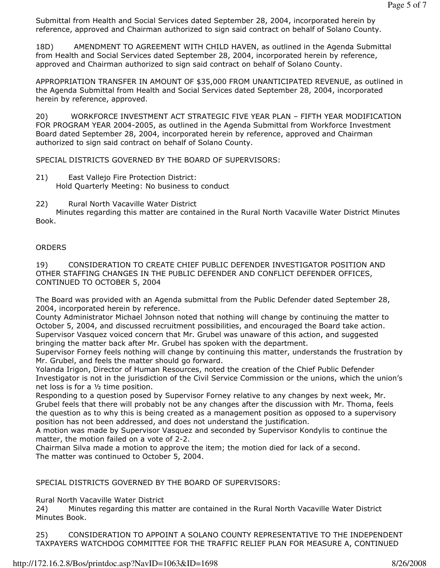Submittal from Health and Social Services dated September 28, 2004, incorporated herein by reference, approved and Chairman authorized to sign said contract on behalf of Solano County.

18D) AMENDMENT TO AGREEMENT WITH CHILD HAVEN, as outlined in the Agenda Submittal from Health and Social Services dated September 28, 2004, incorporated herein by reference, approved and Chairman authorized to sign said contract on behalf of Solano County.

APPROPRIATION TRANSFER IN AMOUNT OF \$35,000 FROM UNANTICIPATED REVENUE, as outlined in the Agenda Submittal from Health and Social Services dated September 28, 2004, incorporated herein by reference, approved.

20) WORKFORCE INVESTMENT ACT STRATEGIC FIVE YEAR PLAN – FIFTH YEAR MODIFICATION FOR PROGRAM YEAR 2004-2005, as outlined in the Agenda Submittal from Workforce Investment Board dated September 28, 2004, incorporated herein by reference, approved and Chairman authorized to sign said contract on behalf of Solano County.

SPECIAL DISTRICTS GOVERNED BY THE BOARD OF SUPERVISORS:

- 21) East Vallejo Fire Protection District: Hold Quarterly Meeting: No business to conduct
- 22) Rural North Vacaville Water District

 Minutes regarding this matter are contained in the Rural North Vacaville Water District Minutes Book.

### **ORDERS**

19) CONSIDERATION TO CREATE CHIEF PUBLIC DEFENDER INVESTIGATOR POSITION AND OTHER STAFFING CHANGES IN THE PUBLIC DEFENDER AND CONFLICT DEFENDER OFFICES, CONTINUED TO OCTOBER 5, 2004

The Board was provided with an Agenda submittal from the Public Defender dated September 28, 2004, incorporated herein by reference.

County Administrator Michael Johnson noted that nothing will change by continuing the matter to October 5, 2004, and discussed recruitment possibilities, and encouraged the Board take action. Supervisor Vasquez voiced concern that Mr. Grubel was unaware of this action, and suggested bringing the matter back after Mr. Grubel has spoken with the department.

Supervisor Forney feels nothing will change by continuing this matter, understands the frustration by Mr. Grubel, and feels the matter should go forward.

Yolanda Irigon, Director of Human Resources, noted the creation of the Chief Public Defender Investigator is not in the jurisdiction of the Civil Service Commission or the unions, which the union's net loss is for a ½ time position.

Responding to a question posed by Supervisor Forney relative to any changes by next week, Mr. Grubel feels that there will probably not be any changes after the discussion with Mr. Thoma, feels the question as to why this is being created as a management position as opposed to a supervisory position has not been addressed, and does not understand the justification.

A motion was made by Supervisor Vasquez and seconded by Supervisor Kondylis to continue the matter, the motion failed on a vote of 2-2.

Chairman Silva made a motion to approve the item; the motion died for lack of a second. The matter was continued to October 5, 2004.

SPECIAL DISTRICTS GOVERNED BY THE BOARD OF SUPERVISORS:

Rural North Vacaville Water District

24) Minutes regarding this matter are contained in the Rural North Vacaville Water District Minutes Book.

25) CONSIDERATION TO APPOINT A SOLANO COUNTY REPRESENTATIVE TO THE INDEPENDENT TAXPAYERS WATCHDOG COMMITTEE FOR THE TRAFFIC RELIEF PLAN FOR MEASURE A, CONTINUED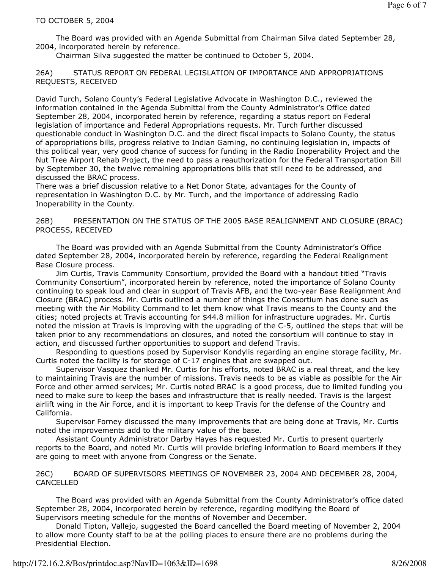The Board was provided with an Agenda Submittal from Chairman Silva dated September 28, 2004, incorporated herein by reference.

Chairman Silva suggested the matter be continued to October 5, 2004.

26A) STATUS REPORT ON FEDERAL LEGISLATION OF IMPORTANCE AND APPROPRIATIONS REQUESTS, RECEIVED

David Turch, Solano County's Federal Legislative Advocate in Washington D.C., reviewed the information contained in the Agenda Submittal from the County Administrator's Office dated September 28, 2004, incorporated herein by reference, regarding a status report on Federal legislation of importance and Federal Appropriations requests. Mr. Turch further discussed questionable conduct in Washington D.C. and the direct fiscal impacts to Solano County, the status of appropriations bills, progress relative to Indian Gaming, no continuing legislation in, impacts of this political year, very good chance of success for funding in the Radio Inoperability Project and the Nut Tree Airport Rehab Project, the need to pass a reauthorization for the Federal Transportation Bill by September 30, the twelve remaining appropriations bills that still need to be addressed, and discussed the BRAC process.

There was a brief discussion relative to a Net Donor State, advantages for the County of representation in Washington D.C. by Mr. Turch, and the importance of addressing Radio Inoperability in the County.

26B) PRESENTATION ON THE STATUS OF THE 2005 BASE REALIGNMENT AND CLOSURE (BRAC) PROCESS, RECEIVED

 The Board was provided with an Agenda Submittal from the County Administrator's Office dated September 28, 2004, incorporated herein by reference, regarding the Federal Realignment Base Closure process.

 Jim Curtis, Travis Community Consortium, provided the Board with a handout titled "Travis Community Consortium", incorporated herein by reference, noted the importance of Solano County continuing to speak loud and clear in support of Travis AFB, and the two-year Base Realignment And Closure (BRAC) process. Mr. Curtis outlined a number of things the Consortium has done such as meeting with the Air Mobility Command to let them know what Travis means to the County and the cities; noted projects at Travis accounting for \$44.8 million for infrastructure upgrades. Mr. Curtis noted the mission at Travis is improving with the upgrading of the C-5, outlined the steps that will be taken prior to any recommendations on closures, and noted the consortium will continue to stay in action, and discussed further opportunities to support and defend Travis.

 Responding to questions posed by Supervisor Kondylis regarding an engine storage facility, Mr. Curtis noted the facility is for storage of C-17 engines that are swapped out.

 Supervisor Vasquez thanked Mr. Curtis for his efforts, noted BRAC is a real threat, and the key to maintaining Travis are the number of missions. Travis needs to be as viable as possible for the Air Force and other armed services; Mr. Curtis noted BRAC is a good process, due to limited funding you need to make sure to keep the bases and infrastructure that is really needed. Travis is the largest airlift wing in the Air Force, and it is important to keep Travis for the defense of the Country and California.

 Supervisor Forney discussed the many improvements that are being done at Travis, Mr. Curtis noted the improvements add to the military value of the base.

 Assistant County Administrator Darby Hayes has requested Mr. Curtis to present quarterly reports to the Board, and noted Mr. Curtis will provide briefing information to Board members if they are going to meet with anyone from Congress or the Senate.

26C) BOARD OF SUPERVISORS MEETINGS OF NOVEMBER 23, 2004 AND DECEMBER 28, 2004, CANCELLED

 The Board was provided with an Agenda Submittal from the County Administrator's office dated September 28, 2004, incorporated herein by reference, regarding modifying the Board of Supervisors meeting schedule for the months of November and December.

 Donald Tipton, Vallejo, suggested the Board cancelled the Board meeting of November 2, 2004 to allow more County staff to be at the polling places to ensure there are no problems during the Presidential Election.